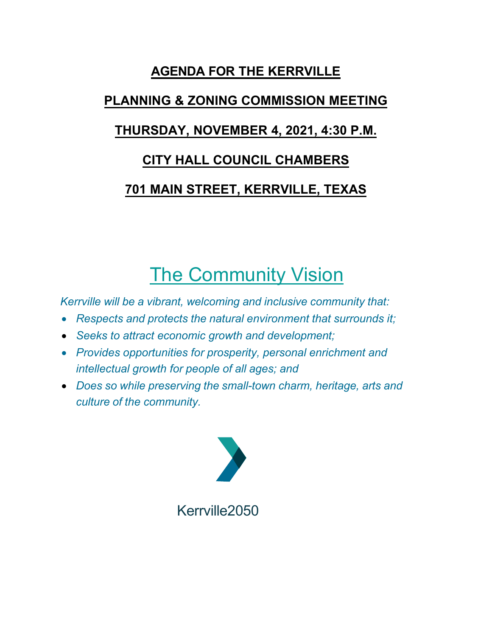# **AGENDA FOR THE KERRVILLE**

# **PLANNING & ZONING COMMISSION MEETING**

# **THURSDAY, NOVEMBER 4, 2021, 4:30 P.M.**

# **CITY HALL COUNCIL CHAMBERS**

# **701 MAIN STREET, KERRVILLE, TEXAS**

# The Community Vision

*Kerrville will be a vibrant, welcoming and inclusive community that:*

- *Respects and protects the natural environment that surrounds it;*
- *Seeks to attract economic growth and development;*
- *Provides opportunities for prosperity, personal enrichment and intellectual growth for people of all ages; and*
- *Does so while preserving the small-town charm, heritage, arts and culture of the community.*

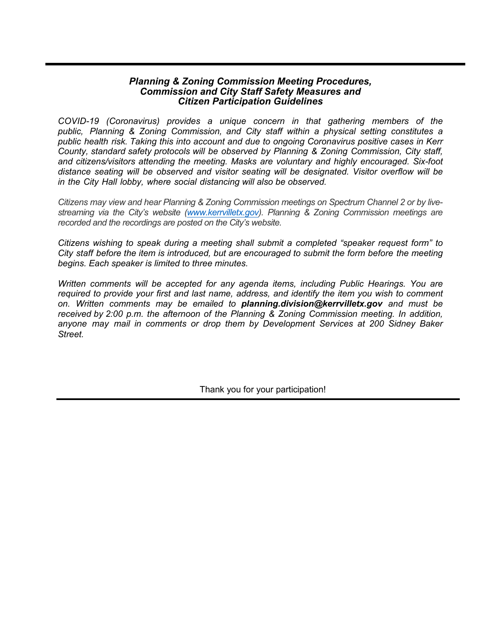#### *Planning & Zoning Commission Meeting Procedures, Commission and City Staff Safety Measures and Citizen Participation Guidelines*

*COVID-19 (Coronavirus) provides a unique concern in that gathering members of the public, Planning & Zoning Commission, and City staff within a physical setting constitutes a public health risk. Taking this into account and due to ongoing Coronavirus positive cases in Kerr County, standard safety protocols will be observed by Planning & Zoning Commission, City staff, and citizens/visitors attending the meeting. Masks are voluntary and highly encouraged. Six-foot distance seating will be observed and visitor seating will be designated. Visitor overflow will be in the City Hall lobby, where social distancing will also be observed.* 

*Citizens may view and hear Planning & Zoning Commission meetings on Spectrum Channel 2 or by livestreaming via the City's website [\(www.kerrvilletx.gov\).](http://www.kerrvilletx.gov/) Planning & Zoning Commission meetings are recorded and the recordings are posted on the City's website.*

*Citizens wishing to speak during a meeting shall submit a completed "speaker request form" to City staff before the item is introduced, but are encouraged to submit the form before the meeting begins. Each speaker is limited to three minutes.* 

*Written comments will be accepted for any agenda items, including Public Hearings. You are required to provide your first and last name, address, and identify the item you wish to comment on. Written comments may be emailed to planning.division@kerrvilletx.gov and must be received by 2:00 p.m. the afternoon of the Planning & Zoning Commission meeting. In addition, anyone may mail in comments or drop them by Development Services at 200 Sidney Baker Street.*

Thank you for your participation!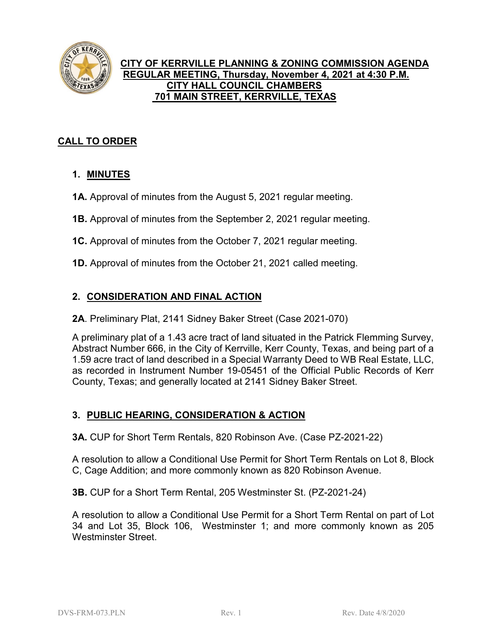

### **CITY OF KERRVILLE PLANNING & ZONING COMMISSION AGENDA REGULAR MEETING, Thursday, November 4, 2021 at 4:30 P.M. CITY HALL COUNCIL CHAMBERS 701 MAIN STREET, KERRVILLE, TEXAS**

## **CALL TO ORDER**

## **1. MINUTES**

- **1A.** Approval of minutes from the August 5, 2021 regular meeting.
- **1B.** Approval of minutes from the September 2, 2021 regular meeting.
- **1C.** Approval of minutes from the October 7, 2021 regular meeting.
- **1D.** Approval of minutes from the October 21, 2021 called meeting.

## **2. CONSIDERATION AND FINAL ACTION**

**2A**. Preliminary Plat, 2141 Sidney Baker Street (Case 2021-070)

A preliminary plat of a 1.43 acre tract of land situated in the Patrick Flemming Survey, Abstract Number 666, in the City of Kerrville, Kerr County, Texas, and being part of a 1.59 acre tract of land described in a Special Warranty Deed to WB Real Estate, LLC, as recorded in Instrument Number 19-05451 of the Official Public Records of Kerr County, Texas; and generally located at 2141 Sidney Baker Street.

## **3. PUBLIC HEARING, CONSIDERATION & ACTION**

**3A.** CUP for Short Term Rentals, 820 Robinson Ave. (Case PZ-2021-22)

A resolution to allow a Conditional Use Permit for Short Term Rentals on Lot 8, Block C, Cage Addition; and more commonly known as 820 Robinson Avenue.

**3B.** CUP for a Short Term Rental, 205 Westminster St. (PZ-2021-24)

A resolution to allow a Conditional Use Permit for a Short Term Rental on part of Lot 34 and Lot 35, Block 106, Westminster 1; and more commonly known as 205 Westminster Street.